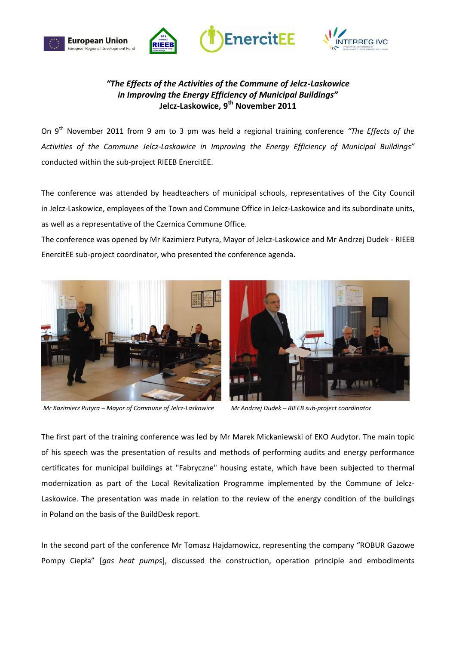





## *"The Effects of the Activities of the Commune of Jelcz-Laskowice in Improving the Energy Efficiency of Municipal Buildings"* **Jelcz-Laskowice, 9th November 2011**

On 9th November 2011 from 9 am to 3 pm was held a regional training conference *"The Effects of the Activities of the Commune Jelcz-Laskowice in Improving the Energy Efficiency of Municipal Buildings"* conducted within the sub-project RIEEB EnercitEE.

The conference was attended by headteachers of municipal schools, representatives of the City Council in Jelcz-Laskowice, employees of the Town and Commune Office in Jelcz-Laskowice and its subordinate units, as well as a representative of the Czernica Commune Office.

The conference was opened by Mr Kazimierz Putyra, Mayor of Jelcz-Laskowice and Mr Andrzej Dudek - RIEEB EnercitEE sub-project coordinator, who presented the conference agenda.



*Mr Kazimierz Putyra – Mayor of Commune of Jelcz-Laskowice Mr Andrzej Dudek – RIEEB sub-project coordinator*



The first part of the training conference was led by Mr Marek Mickaniewski of EKO Audytor. The main topic of his speech was the presentation of results and methods of performing audits and energy performance certificates for municipal buildings at "Fabryczne" housing estate, which have been subjected to thermal modernization as part of the Local Revitalization Programme implemented by the Commune of Jelcz-Laskowice. The presentation was made in relation to the review of the energy condition of the buildings in Poland on the basis of the BuildDesk report.

In the second part of the conference Mr Tomasz Hajdamowicz, representing the company "ROBUR Gazowe Pompy Ciepła" [*gas heat pumps*], discussed the construction, operation principle and embodiments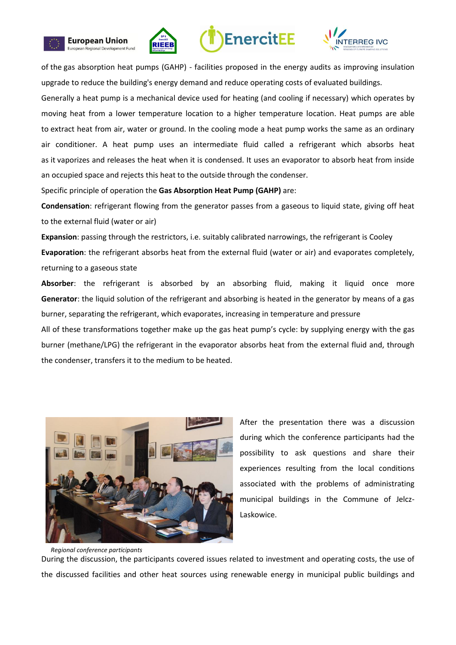









of the gas absorption heat pumps (GAHP) - facilities proposed in the energy audits as improving insulation upgrade to reduce the building's energy demand and reduce operating costs of evaluated buildings.

Generally a heat pump is a mechanical device used for heating (and cooling if necessary) which operates by moving heat from a lower temperature location to a higher temperature location. Heat pumps are able to extract heat from air, water or ground. In the cooling mode a heat pump works the same as an ordinary air conditioner. A heat pump uses an intermediate fluid called a refrigerant which absorbs heat as it vaporizes and releases the heat when it is condensed. It uses an evaporator to absorb heat from inside an occupied space and rejects this heat to the outside through the condenser.

Specific principle of operation the **Gas Absorption Heat Pump (GAHP)** are:

**Condensation**: refrigerant flowing from the generator passes from a gaseous to liquid state, giving off heat to the external fluid (water or air)

**Expansion**: passing through the restrictors, i.e. suitably calibrated narrowings, the refrigerant is Cooley **Evaporation**: the refrigerant absorbs heat from the external fluid (water or air) and evaporates completely, returning to a gaseous state

**Absorber**: the refrigerant is absorbed by an absorbing fluid, making it liquid once more **Generator**: the liquid solution of the refrigerant and absorbing is heated in the generator by means of a gas burner, separating the refrigerant, which evaporates, increasing in temperature and pressure

All of these transformations together make up the gas heat pump's cycle: by supplying energy with the gas burner (methane/LPG) the refrigerant in the evaporator absorbs heat from the external fluid and, through the condenser, transfers it to the medium to be heated.



After the presentation there was a discussion during which the conference participants had the possibility to ask questions and share their experiences resulting from the local conditions associated with the problems of administrating municipal buildings in the Commune of Jelcz-Laskowice.

 *Regional conference participants* During the discussion, the participants covered issues related to investment and operating costs, the use of the discussed facilities and other heat sources using renewable energy in municipal public buildings and